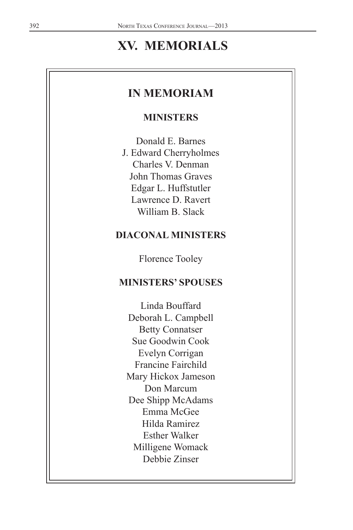# **XV. MEMORIALS**

# **IN MEMORIAM**

#### **MINISTERS**

Donald E. Barnes J. Edward Cherryholmes Charles V. Denman John Thomas Graves Edgar L. Huffstutler Lawrence D. Ravert William B. Slack

# **DIACONAL MINISTERS**

Florence Tooley

# **MINISTERS' SPOUSES**

Linda Bouffard Deborah L. Campbell Betty Connatser Sue Goodwin Cook Evelyn Corrigan Francine Fairchild Mary Hickox Jameson Don Marcum Dee Shipp McAdams Emma McGee Hilda Ramirez Esther Walker Milligene Womack Debbie Zinser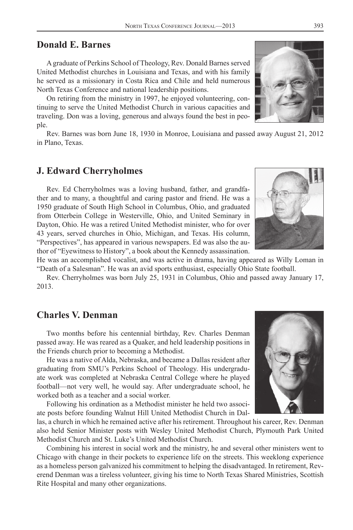#### **Donald E. Barnes**

A graduate of Perkins School of Theology, Rev. Donald Barnes served United Methodist churches in Louisiana and Texas, and with his family he served as a missionary in Costa Rica and Chile and held numerous North Texas Conference and national leadership positions.

On retiring from the ministry in 1997, he enjoyed volunteering, continuing to serve the United Methodist Church in various capacities and traveling. Don was a loving, generous and always found the best in people.

Rev. Barnes was born June 18, 1930 in Monroe, Louisiana and passed away August 21, 2012 in Plano, Texas.

#### **J. Edward Cherryholmes**

Rev. Ed Cherryholmes was a loving husband, father, and grandfather and to many, a thoughtful and caring pastor and friend. He was a 1950 graduate of South High School in Columbus, Ohio, and graduated from Otterbein College in Westerville, Ohio, and United Seminary in Dayton, Ohio. He was a retired United Methodist minister, who for over 43 years, served churches in Ohio, Michigan, and Texas. His column, "Perspectives", has appeared in various newspapers. Ed was also the author of "Eyewitness to History", a book about the Kennedy assassination.

He was an accomplished vocalist, and was active in drama, having appeared as Willy Loman in "Death of a Salesman". He was an avid sports enthusiast, especially Ohio State football.

Rev. Cherryholmes was born July 25, 1931 in Columbus, Ohio and passed away January 17, 2013.

# **Charles V. Denman**

Two months before his centennial birthday, Rev. Charles Denman passed away. He was reared as a Quaker, and held leadership positions in the Friends church prior to becoming a Methodist.

He was a native of Alda, Nebraska, and became a Dallas resident after graduating from SMU's Perkins School of Theology. His undergraduate work was completed at Nebraska Central College where he played football—not very well, he would say. After undergraduate school, he worked both as a teacher and a social worker.

Following his ordination as a Methodist minister he held two associate posts before founding Walnut Hill United Methodist Church in Dal-

las, a church in which he remained active after his retirement. Throughout his career, Rev. Denman also held Senior Minister posts with Wesley United Methodist Church, Plymouth Park United Methodist Church and St. Luke's United Methodist Church.

Combining his interest in social work and the ministry, he and several other ministers went to Chicago with change in their pockets to experience life on the streets. This weeklong experience as a homeless person galvanized his commitment to helping the disadvantaged. In retirement, Reverend Denman was a tireless volunteer, giving his time to North Texas Shared Ministries, Scottish Rite Hospital and many other organizations.





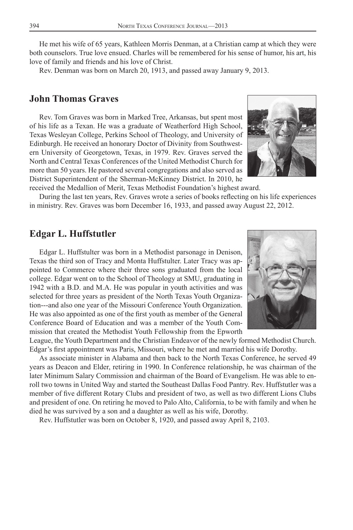He met his wife of 65 years, Kathleen Morris Denman, at a Christian camp at which they were both counselors. True love ensued. Charles will be remembered for his sense of humor, his art, his love of family and friends and his love of Christ.

Rev. Denman was born on March 20, 1913, and passed away January 9, 2013.

#### **John Thomas Graves**

Rev. Tom Graves was born in Marked Tree, Arkansas, but spent most of his life as a Texan. He was a graduate of Weatherford High School, Texas Wesleyan College, Perkins School of Theology, and University of Edinburgh. He received an honorary Doctor of Divinity from Southwestern University of Georgetown, Texas, in 1979. Rev. Graves served the North and Central Texas Conferences of the United Methodist Church for more than 50 years. He pastored several congregations and also served as District Superintendent of the Sherman-McKinney District. In 2010, he received the Medallion of Merit, Texas Methodist Foundation's highest award.



During the last ten years, Rev. Graves wrote a series of books reflecting on his life experiences in ministry. Rev. Graves was born December 16, 1933, and passed away August 22, 2012.

#### **Edgar L. Huffstutler**

Edgar L. Huffstulter was born in a Methodist parsonage in Denison, Texas the third son of Tracy and Monta Huffstulter. Later Tracy was appointed to Commerce where their three sons graduated from the local college. Edgar went on to the School of Theology at SMU, graduating in 1942 with a B.D. and M.A. He was popular in youth activities and was selected for three years as president of the North Texas Youth Organization---and also one year of the Missouri Conference Youth Organization. He was also appointed as one of the first youth as member of the General Conference Board of Education and was a member of the Youth Commission that created the Methodist Youth Fellowship from the Epworth

League, the Youth Department and the Christian Endeavor of the newly formed Methodist Church. Edgar's first appointment was Paris, Missouri, where he met and married his wife Dorothy.

As associate minister in Alabama and then back to the North Texas Conference, he served 49 years as Deacon and Elder, retiring in 1990. In Conference relationship, he was chairman of the later Minimum Salary Commission and chairman of the Board of Evangelism. He was able to enroll two towns in United Way and started the Southeast Dallas Food Pantry. Rev. Huffstutler was a member of five different Rotary Clubs and president of two, as well as two different Lions Clubs and president of one. On retiring he moved to Palo Alto, California, to be with family and when he died he was survived by a son and a daughter as well as his wife, Dorothy.

Rev. Huffstutler was born on October 8, 1920, and passed away April 8, 2103.

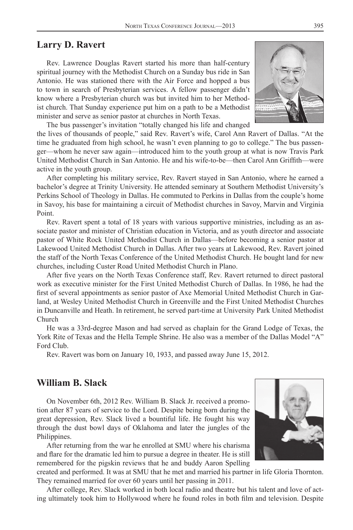#### **Larry D. Ravert**

Rev. Lawrence Douglas Ravert started his more than half-century spiritual journey with the Methodist Church on a Sunday bus ride in San Antonio. He was stationed there with the Air Force and hopped a bus to town in search of Presbyterian services. A fellow passenger didn't know where a Presbyterian church was but invited him to her Methodist church. That Sunday experience put him on a path to be a Methodist minister and serve as senior pastor at churches in North Texas.



The bus passenger's invitation "totally changed his life and changed

the lives of thousands of people," said Rev. Ravert's wife, Carol Ann Ravert of Dallas. "At the time he graduated from high school, he wasn't even planning to go to college." The bus passenger—whom he never saw again—introduced him to the youth group at what is now Travis Park United Methodist Church in San Antonio. He and his wife-to-be—then Carol Ann Griffith—were active in the youth group.

After completing his military service, Rev. Ravert stayed in San Antonio, where he earned a bachelor's degree at Trinity University. He attended seminary at Southern Methodist University's Perkins School of Theology in Dallas. He commuted to Perkins in Dallas from the couple's home in Savoy, his base for maintaining a circuit of Methodist churches in Savoy, Marvin and Virginia Point.

Rev. Ravert spent a total of 18 years with various supportive ministries, including as an associate pastor and minister of Christian education in Victoria, and as youth director and associate pastor of White Rock United Methodist Church in Dallas—before becoming a senior pastor at Lakewood United Methodist Church in Dallas. After two years at Lakewood, Rev. Ravert joined the staff of the North Texas Conference of the United Methodist Church. He bought land for new churches, including Custer Road United Methodist Church in Plano.

After five years on the North Texas Conference staff, Rev. Ravert returned to direct pastoral work as executive minister for the First United Methodist Church of Dallas. In 1986, he had the first of several appointments as senior pastor of Axe Memorial United Methodist Church in Garland, at Wesley United Methodist Church in Greenville and the First United Methodist Churches in Duncanville and Heath. In retirement, he served part-time at University Park United Methodist Church

He was a 33rd-degree Mason and had served as chaplain for the Grand Lodge of Texas, the York Rite of Texas and the Hella Temple Shrine. He also was a member of the Dallas Model "A" Ford Club.

Rev. Ravert was born on January 10, 1933, and passed away June 15, 2012.

## **William B. Slack**

On November 6th, 2012 Rev. William B. Slack Jr. received a promotion after 87 years of service to the Lord. Despite being born during the great depression, Rev. Slack lived a bountiful life. He fought his way through the dust bowl days of Oklahoma and later the jungles of the Philippines.

After returning from the war he enrolled at SMU where his charisma and flare for the dramatic led him to pursue a degree in theater. He is still remembered for the pigskin reviews that he and buddy Aaron Spelling



created and performed. It was at SMU that he met and married his partner in life Gloria Thornton. They remained married for over 60 years until her passing in 2011.

After college, Rev. Slack worked in both local radio and theatre but his talent and love of acting ultimately took him to Hollywood where he found roles in both film and television. Despite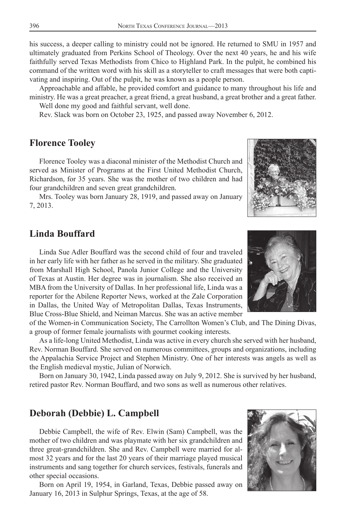his success, a deeper calling to ministry could not be ignored. He returned to SMU in 1957 and ultimately graduated from Perkins School of Theology. Over the next 40 years, he and his wife faithfully served Texas Methodists from Chico to Highland Park. In the pulpit, he combined his command of the written word with his skill as a storyteller to craft messages that were both captivating and inspiring. Out of the pulpit, he was known as a people person.

Approachable and affable, he provided comfort and guidance to many throughout his life and ministry. He was a great preacher, a great friend, a great husband, a great brother and a great father. Well done my good and faithful servant, well done.

Rev. Slack was born on October 23, 1925, and passed away November 6, 2012.

### **Florence Tooley**

Florence Tooley was a diaconal minister of the Methodist Church and served as Minister of Programs at the First United Methodist Church, Richardson, for 35 years. She was the mother of two children and had four grandchildren and seven great grandchildren.

Mrs. Tooley was born January 28, 1919, and passed away on January 7, 2013.

# **Linda Bouffard**

Linda Sue Adler Bouffard was the second child of four and traveled in her early life with her father as he served in the military. She graduated from Marshall High School, Panola Junior College and the University of Texas at Austin. Her degree was in journalism. She also received an MBA from the University of Dallas. In her professional life, Linda was a reporter for the Abilene Reporter News, worked at the Zale Corporation in Dallas, the United Way of Metropolitan Dallas, Texas Instruments, Blue Cross-Blue Shield, and Neiman Marcus. She was an active member

of the Women-in Communication Society, The Carrollton Women's Club, and The Dining Divas, a group of former female journalists with gourmet cooking interests.

As a life-long United Methodist, Linda was active in every church she served with her husband, Rev. Norman Bouffard. She served on numerous committees, groups and organizations, including the Appalachia Service Project and Stephen Ministry. One of her interests was angels as well as the English medieval mystic, Julian of Norwich.

Born on January 30, 1942, Linda passed away on July 9, 2012. She is survived by her husband, retired pastor Rev. Norman Bouffard, and two sons as well as numerous other relatives.

# **Deborah (Debbie) L. Campbell**

Debbie Campbell, the wife of Rev. Elwin (Sam) Campbell, was the mother of two children and was playmate with her six grandchildren and three great-grandchildren. She and Rev. Campbell were married for almost 32 years and for the last 20 years of their marriage played musical instruments and sang together for church services, festivals, funerals and other special occasions.

Born on April 19, 1954, in Garland, Texas, Debbie passed away on January 16, 2013 in Sulphur Springs, Texas, at the age of 58.





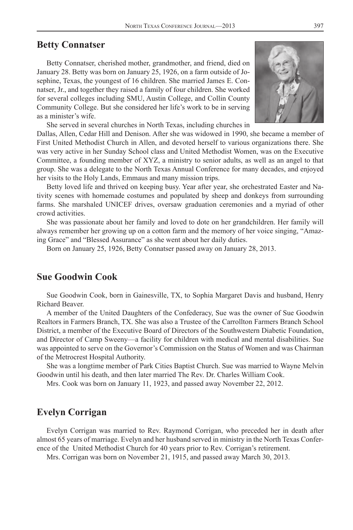#### **Betty Connatser**

Betty Connatser, cherished mother, grandmother, and friend, died on January 28. Betty was born on January 25, 1926, on a farm outside of Josephine, Texas, the youngest of 16 children. She married James E. Connatser, Jr., and together they raised a family of four children. She worked for several colleges including SMU, Austin College, and Collin County Community College. But she considered her life's work to be in serving as a minister's wife.



She served in several churches in North Texas, including churches in

Dallas, Allen, Cedar Hill and Denison. After she was widowed in 1990, she became a member of First United Methodist Church in Allen, and devoted herself to various organizations there. She was very active in her Sunday School class and United Methodist Women, was on the Executive Committee, a founding member of XYZ, a ministry to senior adults, as well as an angel to that group. She was a delegate to the North Texas Annual Conference for many decades, and enjoyed her visits to the Holy Lands, Emmaus and many mission trips.

Betty loved life and thrived on keeping busy. Year after year, she orchestrated Easter and Nativity scenes with homemade costumes and populated by sheep and donkeys from surrounding farms. She marshaled UNICEF drives, oversaw graduation ceremonies and a myriad of other crowd activities.

She was passionate about her family and loved to dote on her grandchildren. Her family will always remember her growing up on a cotton farm and the memory of her voice singing, "Amazing Grace" and "Blessed Assurance" as she went about her daily duties.

Born on January 25, 1926, Betty Connatser passed away on January 28, 2013.

#### **Sue Goodwin Cook**

Sue Goodwin Cook, born in Gainesville, TX, to Sophia Margaret Davis and husband, Henry Richard Beaver.

A member of the United Daughters of the Confederacy, Sue was the owner of Sue Goodwin Realtors in Farmers Branch, TX. She was also a Trustee of the Carrollton Farmers Branch School District, a member of the Executive Board of Directors of the Southwestern Diabetic Foundation, and Director of Camp Sweeny—a facility for children with medical and mental disabilities. Sue was appointed to serve on the Governor's Commission on the Status of Women and was Chairman of the Metrocrest Hospital Authority.

She was a longtime member of Park Cities Baptist Church. Sue was married to Wayne Melvin Goodwin until his death, and then later married The Rev. Dr. Charles William Cook.

Mrs. Cook was born on January 11, 1923, and passed away November 22, 2012.

# **Evelyn Corrigan**

Evelyn Corrigan was married to Rev. Raymond Corrigan, who preceded her in death after almost 65 years of marriage. Evelyn and her husband served in ministry in the North Texas Conference of the United Methodist Church for 40 years prior to Rev. Corrigan's retirement.

Mrs. Corrigan was born on November 21, 1915, and passed away March 30, 2013.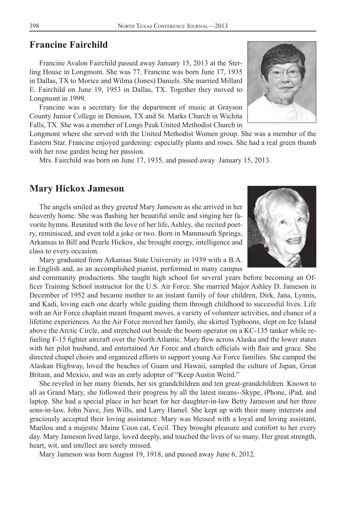### **Francine Fairchild**

Francine Avalon Fairchild passed away January 15, 2013 at the Sterling House in Longmont. She was 77. Francine was born June 17, 1935 in Dallas, TX to Morice and Wilma (Jones) Daniels. She married Millard E. Fairchild on June 19, 1953 in Dallas, TX. Together they moved to Longmont in 1999.

Francine was a secretary for the department of music at Grayson County Junior College in Denison, TX and St. Marks Church in Wichita Falls, TX. She was a member of Longs Peak United Methodist Church in

Longmont where she served with the United Methodist Women group. She was a member of the Eastern Star. Francine enjoyed gardening: especially plants and roses. She had a real green thumb with her rose garden being her passion.

Mrs. Fairchild was born on June 17, 1935, and passed away January 15, 2013.

#### **Mary Hickox Jameson**

The angels smiled as they greeted Mary Jameson as she arrived in her heavenly home. She was flashing her beautiful smile and singing her favorite hymns. Reunited with the love of her life, Ashley, she recited poetry, reminisced, and even told a joke or two. Born in Mammouth Springs, Arkansas to Bill and Pearle Hickox, she brought energy, intelligence and class to every occasion.

Mary graduated from Arkansas State University in 1939 with a B.A. in English and, as an accomplished pianist, performed in many campus

and community productions. She taught high school for several years before becoming an Officer Training School instructor for the U.S. Air Force. She married Major Ashley D. Jameson in December of 1952 and became mother to an instant family of four children, Dirk, Jana, Lynnis, and Kadi, loving each one dearly while guiding them through childhood to successful lives. Life with an Air Force chaplain meant frequent moves, a variety of volunteer activities, and chance of a lifetime experiences. As the Air Force moved her family, she skirted Typhoons, slept on Ice Island above the Arctic Circle, and stretched out beside the boom operator on a KC-135 tanker while refueling F-15 fighter aircraft over the North Atlantic. Mary flew across Alaska and the lower states with her pilot husband, and entertained Air Force and church officials with flair and grace. She directed chapel choirs and organized efforts to support young Air Force families. She camped the Alaskan Highway, loved the beaches of Guam and Hawaii, sampled the culture of Japan, Great Britain, and Mexico, and was an early adopter of "Keep Austin Weird."

She reveled in her many friends, her six grandchildren and ten great-grandchildren. Known to all as Grand Mary, she followed their progress by all the latest means--Skype, iPhone, iPad, and laptop. She had a special place in her heart for her daughter-in-law Betty Jameson and her three sons-in-law, John Nave, Jim Wills, and Larry Hamel. She kept up with their many interests and graciously accepted their loving assistance. Mary was blessed with a loyal and loving assistant, Marilou and a majestic Maine Coon cat, Cecil. They brought pleasure and comfort to her every day. Mary Jameson lived large, loved deeply, and touched the lives of so many. Her great strength, heart, wit, and intellect are sorely missed.

Mary Jameson was born August 19, 1918, and passed away June 6, 2012.



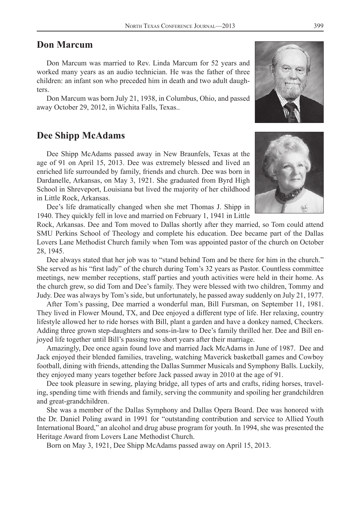# **Don Marcum**

Don Marcum was married to Rev. Linda Marcum for 52 years and worked many years as an audio technician. He was the father of three children: an infant son who preceded him in death and two adult daughters.

Don Marcum was born July 21, 1938, in Columbus, Ohio, and passed away October 29, 2012, in Wichita Falls, Texas..

#### **Dee Shipp McAdams**

Dee Shipp McAdams passed away in New Braunfels, Texas at the age of 91 on April 15, 2013. Dee was extremely blessed and lived an enriched life surrounded by family, friends and church. Dee was born in Dardanelle, Arkansas, on May 3, 1921. She graduated from Byrd High School in Shreveport, Louisiana but lived the majority of her childhood in Little Rock, Arkansas.

Dee's life dramatically changed when she met Thomas J. Shipp in 1940. They quickly fell in love and married on February 1, 1941 in Little

Rock, Arkansas. Dee and Tom moved to Dallas shortly after they married, so Tom could attend SMU Perkins School of Theology and complete his education. Dee became part of the Dallas Lovers Lane Methodist Church family when Tom was appointed pastor of the church on October 28, 1945.

Dee always stated that her job was to "stand behind Tom and be there for him in the church." She served as his "first lady" of the church during Tom's 32 years as Pastor. Countless committee meetings, new member receptions, staff parties and youth activities were held in their home. As the church grew, so did Tom and Dee's family. They were blessed with two children, Tommy and Judy. Dee was always by Tom's side, but unfortunately, he passed away suddenly on July 21, 1977.

After Tom's passing, Dee married a wonderful man, Bill Fursman, on September 11, 1981. They lived in Flower Mound, TX, and Dee enjoyed a different type of life. Her relaxing, country lifestyle allowed her to ride horses with Bill, plant a garden and have a donkey named, Checkers. Adding three grown step-daughters and sons-in-law to Dee's family thrilled her. Dee and Bill enjoyed life together until Bill's passing two short years after their marriage.

Amazingly, Dee once again found love and married Jack McAdams in June of 1987. Dee and Jack enjoyed their blended families, traveling, watching Maverick basketball games and Cowboy football, dining with friends, attending the Dallas Summer Musicals and Symphony Balls. Luckily, they enjoyed many years together before Jack passed away in 2010 at the age of 91.

Dee took pleasure in sewing, playing bridge, all types of arts and crafts, riding horses, traveling, spending time with friends and family, serving the community and spoiling her grandchildren and great-grandchildren.

She was a member of the Dallas Symphony and Dallas Opera Board. Dee was honored with the Dr. Daniel Poling award in 1991 for "outstanding contribution and service to Allied Youth International Board," an alcohol and drug abuse program for youth. In 1994, she was presented the Heritage Award from Lovers Lane Methodist Church.

Born on May 3, 1921, Dee Shipp McAdams passed away on April 15, 2013.



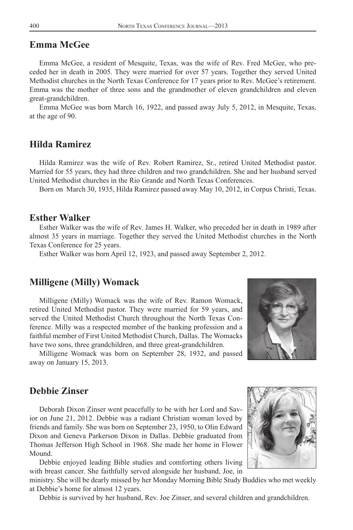#### **Emma McGee**

Emma McGee, a resident of Mesquite, Texas, was the wife of Rev. Fred McGee, who preceded her in death in 2005. They were married for over 57 years. Together they served United Methodist churches in the North Texas Conference for 17 years prior to Rev. McGee's retirement. Emma was the mother of three sons and the grandmother of eleven grandchildren and eleven great-grandchildren.

Emma McGee was born March 16, 1922, and passed away July 5, 2012, in Mesquite, Texas, at the age of 90.

# **Hilda Ramirez**

Hilda Ramirez was the wife of Rev. Robert Ramirez, Sr., retired United Methodist pastor. Married for 55 years, they had three children and two grandchildren. She and her husband served United Methodist churches in the Rio Grande and North Texas Conferences.

Born on March 30, 1935, Hilda Ramirez passed away May 10, 2012, in Corpus Christi, Texas.

#### **Esther Walker**

Esther Walker was the wife of Rev. James H. Walker, who preceded her in death in 1989 after almost 35 years in marriage. Together they served the United Methodist churches in the North Texas Conference for 25 years.

Esther Walker was born April 12, 1923, and passed away September 2, 2012.

#### **Milligene (Milly) Womack**

Milligene (Milly) Womack was the wife of Rev. Ramon Womack, retired United Methodist pastor. They were married for 59 years, and served the United Methodist Church throughout the North Texas Conference. Milly was a respected member of the banking profession and a faithful member of First United Methodist Church, Dallas. The Womacks have two sons, three grandchildren, and three great-grandchildren.

Milligene Womack was born on September 28, 1932, and passed away on January 15, 2013.



### **Debbie Zinser**

Deborah Dixon Zinser went peacefully to be with her Lord and Savior on June 21, 2012. Debbie was a radiant Christian woman loved by friends and family. She was born on September 23, 1950, to Olin Edward Dixon and Geneva Parkerson Dixon in Dallas. Debbie graduated from Thomas Jefferson High School in 1968. She made her home in Flower Mound.

Debbie enjoyed leading Bible studies and comforting others living with breast cancer. She faithfully served alongside her husband, Joe, in

ministry. She will be dearly missed by her Monday Morning Bible Study Buddies who met weekly at Debbie's home for almost 12 years.

Debbie is survived by her husband, Rev. Joe Zinser, and several children and grandchildren.

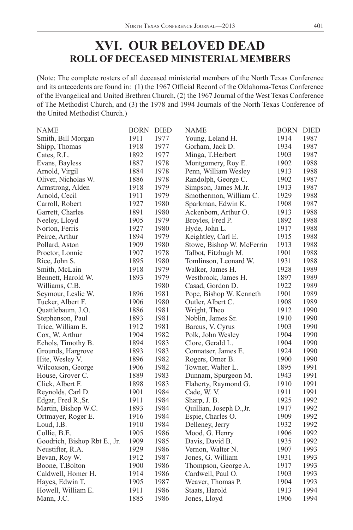# **XVI. OUR BELOVED DEAD ROLL OF DECEASED MINISTERIAL MEMBERS**

(Note: The complete rosters of all deceased ministerial members of the North Texas Conference and its antecedents are found in: (1) the 1967 Official Record of the Oklahoma-Texas Conference of the Evangelical and United Brethren Church, (2) the 1967 Journal of the West Texas Conference of The Methodist Church, and (3) the 1978 and 1994 Journals of the North Texas Conference of the United Methodist Church.)

| <b>NAME</b>                  | <b>BORN</b>  | <b>DIED</b>  | <b>NAME</b>               | <b>BORN</b>  | <b>DIED</b> |
|------------------------------|--------------|--------------|---------------------------|--------------|-------------|
| Smith, Bill Morgan           | 1911         | 1977         | Young, Leland H.          | 1914         | 1987        |
| Shipp, Thomas                | 1918         | 1977         | Gorham, Jack D.           | 1934         | 1987        |
| Cates, R.L.                  | 1892         | 1977         | Minga, T.Herbert          | 1903         | 1987        |
| Evans, Bayless               | 1887         | 1978         | Montgomery, Roy E.        | 1902         | 1988        |
| Arnold, Virgil               | 1884         | 1978         | Penn, William Wesley      | 1913         | 1988        |
| Oliver, Nicholas W.          | 1886         | 1978         | Randolph, George C.       | 1902         | 1987        |
| Armstrong, Alden             | 1918         | 1979         | Simpson, James M.Jr.      | 1913         | 1987        |
| Arnold, Cecil                | 1911         | 1979         | Smothermon, William C.    | 1929         | 1988        |
| Carroll, Robert              | 1927         | 1980         | Sparkman, Edwin K.        | 1908         | 1987        |
| Garrett, Charles             | 1891         | 1980         | Ackenbom, Arthur O.       | 1913         | 1988        |
| Neeley, Lloyd                | 1905         | 1979         | Broyles, Fred P.          | 1892         | 1988        |
| Norton, Ferris               | 1927         | 1980         | Hyde, John L.             | 1917         | 1988        |
| Peirce, Arthur               | 1894         | 1979         | Keightley, Carl E.        | 1915         | 1988        |
| Pollard, Aston               | 1909         | 1980         | Stowe, Bishop W. McFerrin | 1913         | 1988        |
| Proctor, Lonnie              | 1907         | 1978         | Talbot, Fitzhugh M.       | 1901         | 1988        |
| Rice, John S.                | 1895         | 1980         | Tomlinson, Leonard W.     | 1931         | 1988        |
| Smith, McLain                | 1918         | 1979         | Walker, James H.          | 1928         | 1989        |
| Bennett, Harold W.           | 1893         | 1979         | Westbrook, James H.       | 1897         | 1989        |
| Williams, C.B.               |              | 1980         | Casad, Gordon D.          | 1922         | 1989        |
| Seymour, Leslie W.           | 1896         | 1981         | Pope, Bishop W. Kenneth   | 1901         | 1989        |
| Tucker, Albert F.            | 1906         | 1980         | Outler, Albert C.         | 1908         | 1989        |
| Quattlebaum, J.O.            | 1886         | 1981         | Wright, Theo              | 1912         | 1990        |
| Stephenson, Paul             | 1893         | 1981         | Noblin, James Sr.         | 1910         | 1990        |
| Trice, William E.            | 1912         | 1981         | Barcus, V. Cyrus          | 1903         | 1990        |
| Cox, W. Arthur               | 1904         | 1982         | Polk, John Wesley         | 1904         | 1990        |
| Echols, Timothy B.           | 1894         | 1983         | Clore, Gerald L.          | 1904         | 1990        |
| Grounds, Hargrove            | 1893         | 1983         | Connatser, James E.       | 1924         | 1990        |
| Hite, Wesley V.              | 1896         | 1982         | Rogers, Omer B.           | 1900         | 1990        |
| Wilcoxson, George            | 1906         | 1982         | Towner, Walter L.         | 1895         | 1991        |
|                              | 1889         |              |                           |              | 1991        |
| House, Grover C.             |              | 1983<br>1983 | Dunnam, Spurgeon M.       | 1943         | 1991        |
| Click, Albert F.             | 1898<br>1901 | 1984         | Flaherty, Raymond G.      | 1910<br>1911 | 1991        |
| Reynolds, Carl D.            |              |              | Cade, W.V.                |              | 1992        |
| Edgar, Fred R., Sr.          | 1911         | 1984         | Sharp, J. B.              | 1925         |             |
| Martin, Bishop W.C.          | 1893         | 1984         | Quillian, Joseph D., Jr.  | 1917         | 1992        |
| Ortmayer, Roger E.           | 1916         | 1984         | Espie, Charles O.         | 1909         | 1992        |
| Loud, I.B.                   | 1910         | 1984         | Delleney, Jerry           | 1932         | 1992        |
| Collie, B.E.                 | 1905         | 1986         | Mood, G. Henry            | 1906         | 1992        |
| Goodrich, Bishop Rbt E., Jr. | 1909         | 1985         | Davis, David B.           | 1935         | 1992        |
| Neustifter, R.A.             | 1929         | 1986         | Vernon, Walter N.         | 1907         | 1993        |
| Bevan, Roy W.                | 1912         | 1987         | Jones, G. William         | 1931         | 1993        |
| Boone, T.Bolton              | 1900         | 1986         | Thompson, George A.       | 1917         | 1993        |
| Caldwell, Homer H.           | 1914         | 1986         | Cardwell, Paul O.         | 1903         | 1993        |
| Hayes, Edwin T.              | 1905         | 1987         | Weaver, Thomas P.         | 1904         | 1993        |
| Howell, William E.           | 1911         | 1986         | Staats, Harold            | 1913         | 1994        |
| Mann, J.C.                   | 1885         | 1986         | Jones, Lloyd              | 1906         | 1994        |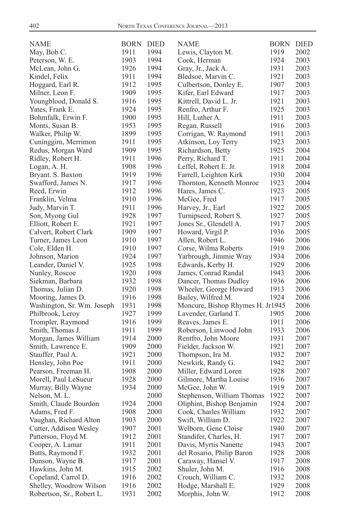| NAME                       | <b>BORN DIED</b> |              | <b>NAME</b>                                        | BORN         | DIED |
|----------------------------|------------------|--------------|----------------------------------------------------|--------------|------|
| May, Bob C.                | 1911             | 1994         | Lewis, Clayton M.                                  | 1919         | 2002 |
| Peterson, W. E.            | 1903             | 1994         | Cook, Herman                                       | 1924         | 2003 |
| McLean, John G.            | 1926             | 1994         | Gray, Jr., Jack A.                                 | 1931         | 2003 |
| Kindel, Felix              | 1911             | 1994         | Bledsoe, Marvin C.                                 | 1921         | 2003 |
| Hoggard, Earl R.           | 1912             | 1995         | Culbertson, Donley E.                              | 1907         | 2003 |
| Milner, Leon F.            | 1909             | 1995         | Kifer, Earl Edward                                 | 1917         | 2003 |
| Youngblood, Donald S.      | 1916             | 1995         | Kittrell, David L. Jr.                             | 1921         | 2003 |
| Yates, Frank E.            | 1924             | 1995         | Renfro, Arthur F.                                  | 1925         | 2003 |
| Bohmfalk, Erwin F.         | 1900             | 1995         | Hill, Luther A.                                    | 1911         | 2003 |
| Monts, Susan B.            | 1953             | 1995         | Regan, Russell                                     | 1916         | 2003 |
| Walker, Philip W.          | 1899             | 1995         | Corrigan, W. Raymond                               | 1911         | 2003 |
| Cuninggim, Merrimon        | 1911             | 1995         | Atkinson, Loy Terry                                | 1923         | 2003 |
| Redus, Morgan Ward         | 1909             | 1995         | Richardson, Betty                                  | 1925         | 2004 |
| Ridley, Robert H.          | 1911             | 1996         | Perry, Richard T.                                  | 1911         | 2004 |
| Logan, A. H.               | 1908             | 1996         | Leffel, Robert E. Jr.                              | 1918         | 2004 |
| Bryant. S. Baxton          | 1919             | 1996         | Farrell, Leighton Kirk                             | 1930         | 2004 |
| Swafford, James N.         | 1917             | 1996         | Thornton, Kenneth Monroe                           | 1923         | 2004 |
| Reed, Erwin                | 1912             | 1996         | Hares, James C.                                    | 1923         | 2005 |
| Franklin, Velma            | 1910             | 1996         | McGee, Fred                                        | 1917         | 2005 |
| Judy, Marvin T.            | 1911             | 1996         | Harvey, Jr., Earl                                  | 1922         | 2005 |
| Son, Myong Gul             | 1928             | 1997         | Turnipseed, Robert S.                              | 1927         | 2005 |
| Elliott, Robert E.         | 1921             | 1997         | Jones Sr., Glendell A.                             | 1917         | 2005 |
| Calvert, Robert Clark      | 1909             | 1997         | Howard, Virgil P.                                  | 1936         | 2005 |
| Turner, James Leon         | 1910             | 1997         | Allen, Robert L.                                   | 1946         | 2006 |
| Cole, Elden H.             | 1910             | 1997         | Corse, Wilma Roberts                               | 1919         | 2006 |
| Johnson, Marion            | 1924             | 1997         | Yarbrough, Jimmie Wray                             | 1934         | 2006 |
| Leander, Daniel V.         | 1925             | 1998         | Edwards, Kerby H.                                  | 1929         | 2006 |
| Nunley, Roscoe             | 1920             | 1998         | James, Conrad Randal                               | 1943         | 2006 |
| Siekman, Barbara           | 1932             | 1998         | Dancer, Thomas Dudley                              | 1936         | 2006 |
| Thomas, Julian D.          | 1920             | 1998         | Wheeler, George Howard                             | 1913         | 2006 |
| Mooring, James D.          | 1916             | 1998         | Bailey, Wilfred M.                                 | 1924         | 2006 |
| Washington, Sr. Wm. Joseph | 1931             | 1998         | Moncure, Bishop Rhymes H. Jr1945                   |              | 2006 |
| Philbrook, Leroy           | 1927             | 1999         | Lavender, Garland T.                               | 1905         | 2006 |
| Trompler, Raymond          | 1916             | 1999         | Reaves, James E.                                   | 1911         | 2006 |
| Smith, Thomas J.           | 1911             | 1999         | Roberson, Linwood John                             | 1933         | 2006 |
| Morgan, James William      | 1914             | 2000         | Rentfro, John Moore                                | 1931         | 2007 |
| Smith, Lawrence E.         | 1909             | 2000         | Fielder, Jackson W.                                | 1921         | 2007 |
| Stauffer, Paul A.          | 1921             | 2000         | Thompson, Ira M.                                   | 1932         | 2007 |
| Hensley, John Poe          | 1911             | 2000         | Newkirk, Randy G.                                  | 1942         | 2007 |
| Pearson, Freeman H.        | 1908             | 2000         | Miller, Edward Loren                               | 1928         | 2007 |
| Morell, Paul LeSueur       | 1928             | 2000         | Gilmore, Martha Louise                             | 1936         | 2007 |
| Murray, Billy Wayne        | 1934             | 2000         | McGee, John W.                                     | 1919         | 2007 |
| Nelson, M. L.              |                  | 2000         | Stephenson, William Thomas                         | 1922         | 2007 |
| Smith, Claude Bourdon      | 1924             | 2000         | Oliphint, Bishop Benjamin                          | 1924         | 2007 |
| Adams, Fred F.             | 1908             | 2000         | Cook, Charles William                              | 1932         | 2007 |
| Vaughan, Richard Alton     | 1903             | 2000         | Swift, William D.                                  | 1922         | 2007 |
| Cutter, Addison Wesley     | 1907             | 2001         | Welborn, Gene Cloise                               | 1940         | 2007 |
| Patterson, Floyd M.        | 1912             | 2001         | Standifer, Charles, H.                             | 1917         | 2007 |
|                            | 1911             | 2001         |                                                    | 1943         | 2007 |
| Cooper, A. Lamar           | 1932             | 2001         | Davis, Myrtis Nanette<br>del Rosario, Philip Baron | 1928         | 2008 |
| Butts, Raymond F.          | 1917             |              | Caraway, Hansel V.                                 |              | 2008 |
| Dunson, Wayne B.           | 1915             | 2001<br>2002 |                                                    | 1917<br>1916 | 2008 |
| Hawkins, John M.           | 1916             | 2002         | Shuler, John M.                                    | 1932         |      |
| Copeland, Carrol D.        |                  |              | Crouch, William C.                                 |              | 2008 |
| Shelley, Woodrow Wilson    | 1916             | 2002         | Hodge, Marshall E.                                 | 1929         | 2008 |
| Robertson, Sr., Robert L.  | 1931             | 2002         | Morphis, John W.                                   | 1912         | 2008 |